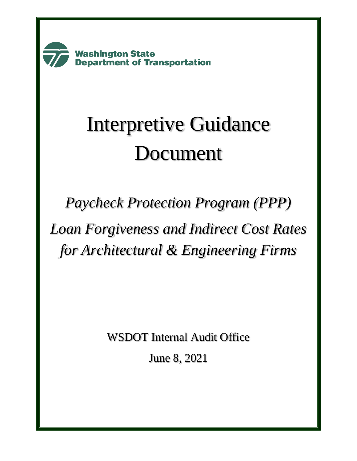**Washington State Department of Transportation** 

# Interpretive Guidance Document

*Paycheck Protection Program (PPP) Loan Forgiveness and Indirect Cost Rates for Architectural & Engineering Firms*

WSDOT Internal Audit Office

June 8, 2021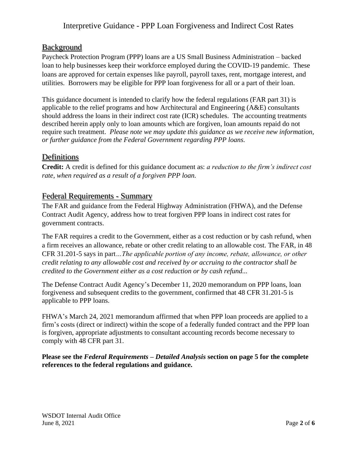# Background

Paycheck Protection Program (PPP) loans are a US Small Business Administration – backed loan to help businesses keep their workforce employed during the COVID-19 pandemic. These loans are approved for certain expenses like payroll, payroll taxes, rent, mortgage interest, and utilities. Borrowers may be eligible for PPP loan forgiveness for all or a part of their loan.

This guidance document is intended to clarify how the federal regulations (FAR part 31) is applicable to the relief programs and how Architectural and Engineering (A&E) consultants should address the loans in their indirect cost rate (ICR) schedules. The accounting treatments described herein apply only to loan amounts which are forgiven, loan amounts repaid do not require such treatment. *Please note we may update this guidance as we receive new information, or further guidance from the Federal Government regarding PPP loans.*

# Definitions

**Credit:** A credit is defined for this guidance document as: *a reduction to the firm's indirect cost rate, when required as a result of a forgiven PPP loan.*

# Federal Requirements - Summary

The FAR and guidance from the Federal Highway Administration (FHWA), and the Defense Contract Audit Agency, address how to treat forgiven PPP loans in indirect cost rates for government contracts.

The FAR requires a credit to the Government, either as a cost reduction or by cash refund, when a firm receives an allowance, rebate or other credit relating to an allowable cost. The FAR, in 48 CFR 31.201-5 says in part*…The applicable portion of any income, rebate, allowance, or other credit relating to any allowable cost and received by or accruing to the contractor shall be credited to the Government either as a cost reduction or by cash refund...*

The Defense Contract Audit Agency's December 11, 2020 memorandum on PPP loans, loan forgiveness and subsequent credits to the government, confirmed that 48 CFR 31.201-5 is applicable to PPP loans.

FHWA's March 24, 2021 memorandum affirmed that when PPP loan proceeds are applied to a firm's costs (direct or indirect) within the scope of a federally funded contract and the PPP loan is forgiven, appropriate adjustments to consultant accounting records become necessary to comply with 48 CFR part 31.

**Please see the** *Federal Requirements – Detailed Analysis* **section on page 5 for the complete references to the federal regulations and guidance.**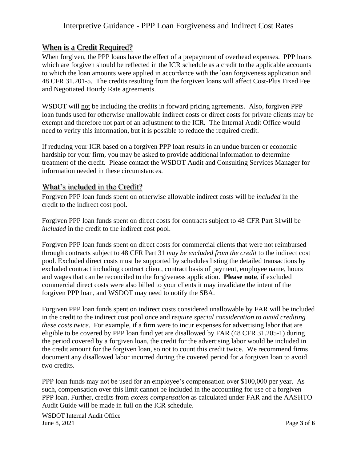# When is a Credit Required?

When forgiven, the PPP loans have the effect of a prepayment of overhead expenses. PPP loans which are forgiven should be reflected in the ICR schedule as a credit to the applicable accounts to which the loan amounts were applied in accordance with the loan forgiveness application and 48 CFR 31.201-5. The credits resulting from the forgiven loans will affect Cost-Plus Fixed Fee and Negotiated Hourly Rate agreements.

WSDOT will not be including the credits in forward pricing agreements. Also, forgiven PPP loan funds used for otherwise unallowable indirect costs or direct costs for private clients may be exempt and therefore not part of an adjustment to the ICR. The Internal Audit Office would need to verify this information, but it is possible to reduce the required credit.

If reducing your ICR based on a forgiven PPP loan results in an undue burden or economic hardship for your firm, you may be asked to provide additional information to determine treatment of the credit. Please contact the WSDOT Audit and Consulting Services Manager for information needed in these circumstances.

#### What's included in the Credit?

Forgiven PPP loan funds spent on otherwise allowable indirect costs will be *included* in the credit to the indirect cost pool.

Forgiven PPP loan funds spent on direct costs for contracts subject to 48 CFR Part 31will be *included* in the credit to the indirect cost pool.

Forgiven PPP loan funds spent on direct costs for commercial clients that were not reimbursed through contracts subject to 48 CFR Part 31 *may be excluded from the credit* to the indirect cost pool. Excluded direct costs must be supported by schedules listing the detailed transactions by excluded contract including contract client, contract basis of payment, employee name, hours and wages that can be reconciled to the forgiveness application. **Please note**, if excluded commercial direct costs were also billed to your clients it may invalidate the intent of the forgiven PPP loan, and WSDOT may need to notify the SBA.

Forgiven PPP loan funds spent on indirect costs considered unallowable by FAR will be included in the credit to the indirect cost pool once and *require special consideration to avoid crediting these costs twice*. For example, if a firm were to incur expenses for advertising labor that are eligible to be covered by PPP loan fund yet are disallowed by FAR (48 CFR 31.205-1) during the period covered by a forgiven loan, the credit for the advertising labor would be included in the credit amount for the forgiven loan, so not to count this credit twice. We recommend firms document any disallowed labor incurred during the covered period for a forgiven loan to avoid two credits.

PPP loan funds may not be used for an employee's compensation over \$100,000 per year. As such, compensation over this limit cannot be included in the accounting for use of a forgiven PPP loan. Further, credits from *excess compensation* as calculated under FAR and the AASHTO Audit Guide will be made in full on the ICR schedule.

WSDOT Internal Audit Office June 8, 2021 Page **3** of **6**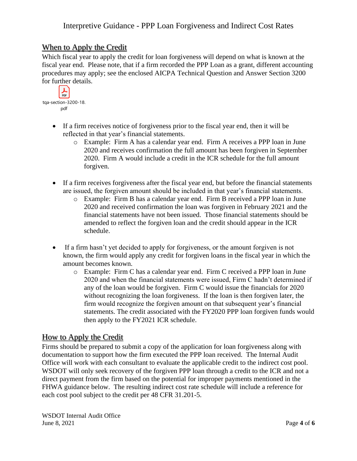#### When to Apply the Credit

Which fiscal year to apply the credit for loan forgiveness will depend on what is known at the fiscal year end. Please note, that if a firm recorded the PPP Loan as a grant, different accounting procedures may apply; see the enclosed AICPA Technical Question and Answer Section 3200 for further details.

| tga-section-3200-18. |  |  |
|----------------------|--|--|
| pdf                  |  |  |

- If a firm receives notice of forgiveness prior to the fiscal year end, then it will be reflected in that year's financial statements.
	- o Example: Firm A has a calendar year end. Firm A receives a PPP loan in June 2020 and receives confirmation the full amount has been forgiven in September 2020. Firm A would include a credit in the ICR schedule for the full amount forgiven.
- If a firm receives forgiveness after the fiscal year end, but before the financial statements are issued, the forgiven amount should be included in that year's financial statements.
	- o Example: Firm B has a calendar year end. Firm B received a PPP loan in June 2020 and received confirmation the loan was forgiven in February 2021 and the financial statements have not been issued. Those financial statements should be amended to reflect the forgiven loan and the credit should appear in the ICR schedule.
- If a firm hasn't yet decided to apply for forgiveness, or the amount forgiven is not known, the firm would apply any credit for forgiven loans in the fiscal year in which the amount becomes known.
	- o Example: Firm C has a calendar year end. Firm C received a PPP loan in June 2020 and when the financial statements were issued, Firm C hadn't determined if any of the loan would be forgiven. Firm C would issue the financials for 2020 without recognizing the loan forgiveness. If the loan is then forgiven later, the firm would recognize the forgiven amount on that subsequent year's financial statements. The credit associated with the FY2020 PPP loan forgiven funds would then apply to the FY2021 ICR schedule.

#### How to Apply the Credit

Firms should be prepared to submit a copy of the application for loan forgiveness along with documentation to support how the firm executed the PPP loan received. The Internal Audit Office will work with each consultant to evaluate the applicable credit to the indirect cost pool. WSDOT will only seek recovery of the forgiven PPP loan through a credit to the ICR and not a direct payment from the firm based on the potential for improper payments mentioned in the FHWA guidance below. The resulting indirect cost rate schedule will include a reference for each cost pool subject to the credit per 48 CFR 31.201-5.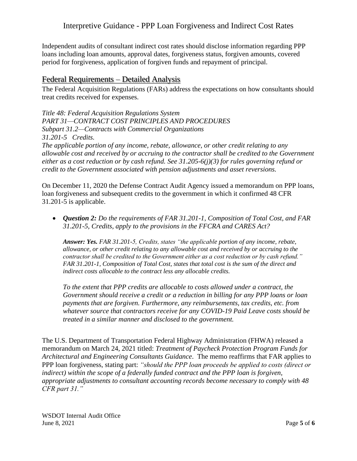Independent audits of consultant indirect cost rates should disclose information regarding PPP loans including loan amounts, approval dates, forgiveness status, forgiven amounts, covered period for forgiveness, application of forgiven funds and repayment of principal.

# Federal Requirements – Detailed Analysis

The Federal Acquisition Regulations (FARs) address the expectations on how consultants should treat credits received for expenses.

*Title 48: Federal Acquisition Regulations System PART 31—CONTRACT COST PRINCIPLES AND PROCEDURES Subpart 31.2—Contracts with Commercial Organizations 31.201-5 Credits. The applicable portion of any income, rebate, allowance, or other credit relating to any allowable cost and received by or accruing to the contractor shall be credited to the Government either as a cost reduction or by cash refund. See 31.205-6(j)(3) for rules governing refund or credit to the Government associated with pension adjustments and asset reversions.*

On December 11, 2020 the Defense Contract Audit Agency issued a memorandum on PPP loans, loan forgiveness and subsequent credits to the government in which it confirmed 48 CFR 31.201-5 is applicable.

• *Question 2: Do the requirements of FAR 31.201-1, Composition of Total Cost, and FAR 31.201-5, Credits, apply to the provisions in the FFCRA and CARES Act?* 

*Answer: Yes. FAR 31.201-5, Credits, states "the applicable portion of any income, rebate, allowance, or other credit relating to any allowable cost and received by or accruing to the contractor shall be credited to the Government either as a cost reduction or by cash refund." FAR 31.201-1, Composition of Total Cost, states that total cost is the sum of the direct and indirect costs allocable to the contract less any allocable credits.* 

*To the extent that PPP credits are allocable to costs allowed under a contract, the Government should receive a credit or a reduction in billing for any PPP loans or loan payments that are forgiven. Furthermore, any reimbursements, tax credits, etc. from whatever source that contractors receive for any COVID-19 Paid Leave costs should be treated in a similar manner and disclosed to the government.*

The U.S. Department of Transportation Federal Highway Administration (FHWA) released a memorandum on March 24, 2021 titled: *Treatment of Paycheck Protection Program Funds for Architectural and Engineering Consultants Guidance*. The memo reaffirms that FAR applies to PPP loan forgiveness, stating part: *"should the PPP loan proceeds be applied to costs (direct or indirect) within the scope of a federally funded contract and the PPP loan is forgiven, appropriate adjustments to consultant accounting records become necessary to comply with 48 CFR part 31."*